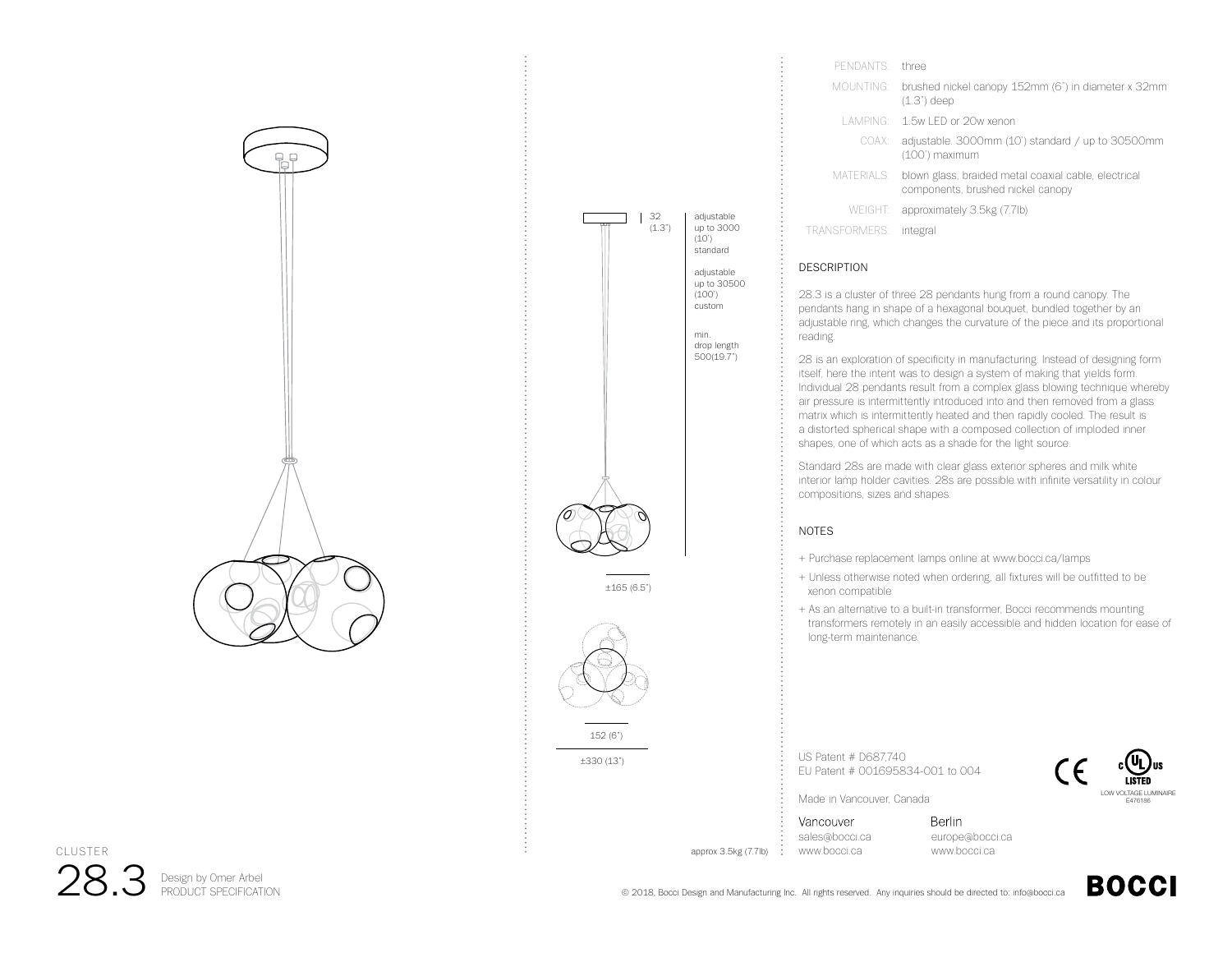



| three                                                                                                   |
|---------------------------------------------------------------------------------------------------------|
| brushed nickel canopy 152mm (6") in diameter x 32mm<br>MOUNTING:<br>$(1.3")$ deep                       |
| LAMPING: 1.5w LED or 20w xenon                                                                          |
| adjustable. 3000mm (10') standard / up to 30500mm<br>COAX:<br>(100') maximum                            |
| MATERIALS:<br>blown glass, braided metal coaxial cable, electrical<br>components, brushed nickel canopy |
| WEIGHT: approximately 3.5kg (7.7lb)                                                                     |
| integral                                                                                                |
|                                                                                                         |

## DESCRIPTION

28.3 is a cluster of three 28 pendants hung from a round canopy. The pendants hang in shape of a hexagonal bouquet, bundled together by an adjustable ring, which changes the curvature of the piece and its proportional reading.

28 is an exploration of specificity in manufacturing. Instead of designing form itself, here the intent was to design a system of making that yields form. Individual 28 pendants result from a complex glass blowing technique whereby air pressure is intermittently introduced into and then removed from a glass matrix which is intermittently heated and then rapidly cooled. The result is a distorted spherical shape with a composed collection of imploded inner shapes, one of which acts as a shade for the light source.

Standard 28s are made with clear glass exterior spheres and milk white interior lamp holder cavities. 28s are possible with infinite versatility in colour compositions, sizes and shapes.

## NOTES

+ Purchase replacement lamps online at www.bocci.ca/lamps

- + Unless otherwise noted when ordering, all fixtures will be outfitted to be xenon compatible
- + As an alternative to a built-in transformer, Bocci recommends mounting transformers remotely in an easily accessible and hidden location for ease of long-term maintenance.

US Patent # D687,740 EU Patent # 001695834-001 to 004



Made in Vancouver, Canada

Vancouver sales@bocci.ca approx 3.5kg (7.7lb) www.bocci.ca

**Berlin** europe@bocci.ca www.bocci.ca



28.3 Design by Omer Arbel CLUSTER

© 2018, Bocci Design and Manufacturing Inc. All rights reserved. Any inquiries should be directed to: info@bocci.ca